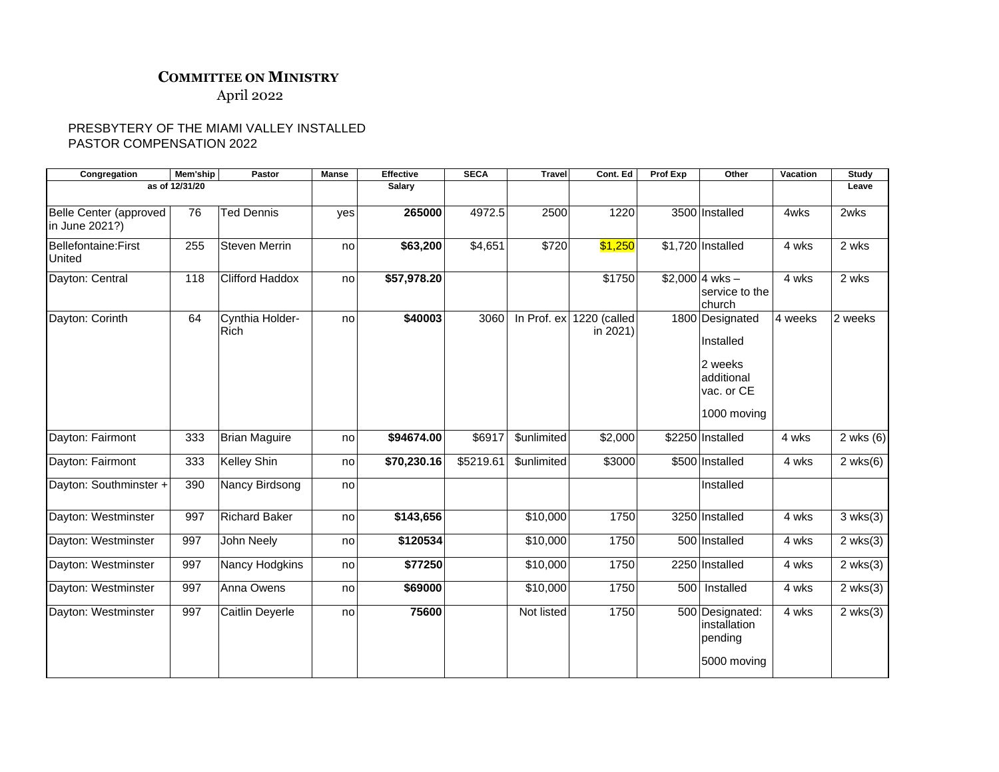## **COMMITTEE ON MINISTRY**

April 2022

## PRESBYTERY OF THE MIAMI VALLEY INSTALLED PASTOR COMPENSATION 2022

| Congregation                             | Mem'ship | Pastor                         | Manse  | Effective   | <b>SECA</b> | <b>Travel</b>      | Cont. Ed                               | Prof Exp | Other                                                                              | Vacation | Study                 |
|------------------------------------------|----------|--------------------------------|--------|-------------|-------------|--------------------|----------------------------------------|----------|------------------------------------------------------------------------------------|----------|-----------------------|
| as of 12/31/20                           |          |                                | Salary |             |             |                    |                                        |          |                                                                                    | Leave    |                       |
|                                          |          |                                |        |             |             |                    |                                        |          |                                                                                    |          |                       |
| Belle Center (approved<br>in June 2021?) | 76       | <b>Ted Dennis</b>              | yes    | 265000      | 4972.5      | 2500               | 1220                                   |          | 3500 Installed                                                                     | 4wks     | 2wks                  |
| <b>Bellefontaine:First</b><br>United     | 255      | <b>Steven Merrin</b>           | no     | \$63,200    | \$4,651     | \$720              | \$1,250                                |          | \$1,720 Installed                                                                  | 4 wks    | 2 wks                 |
| Dayton: Central                          | 118      | <b>Clifford Haddox</b>         | no     | \$57,978.20 |             |                    | \$1750                                 |          | $$2,000$ 4 wks -<br>service to the<br>church                                       | 4 wks    | 2 wks                 |
| Dayton: Corinth                          | 64       | Cynthia Holder-<br><b>Rich</b> | no     | \$40003     | 3060        |                    | In Prof. $ex$ 1220 (called<br>in 2021) |          | 1800 Designated<br>Installed<br>2 weeks<br>additional<br>vac. or CE<br>1000 moving | 4 weeks  | 2 weeks               |
| Dayton: Fairmont                         | 333      | <b>Brian Maguire</b>           | no     | \$94674.00  | \$6917      | <b>\$unlimited</b> | \$2,000                                |          | \$2250 Installed                                                                   | 4 wks    | 2 wks $(6)$           |
| Dayton: Fairmont                         | 333      | Kelley Shin                    | no     | \$70,230.16 | \$5219.61   | \$unlimited        | \$3000                                 |          | \$500 Installed                                                                    | 4 wks    | $2$ wks $(6)$         |
| Dayton: Southminster +                   | 390      | Nancy Birdsong                 | no     |             |             |                    |                                        |          | Installed                                                                          |          |                       |
| Dayton: Westminster                      | 997      | <b>Richard Baker</b>           | no     | \$143,656   |             | \$10,000           | 1750                                   |          | 3250 Installed                                                                     | 4 wks    | $3$ wks $(3)$         |
| Dayton: Westminster                      | 997      | John Neely                     | no     | \$120534    |             | \$10,000           | 1750                                   |          | 500 Installed                                                                      | 4 wks    | $2$ wks $(3)$         |
| Dayton: Westminster                      | 997      | Nancy Hodgkins                 | no     | \$77250     |             | \$10,000           | 1750                                   |          | 2250 Installed                                                                     | 4 wks    | $2$ wks $(3)$         |
| Dayton: Westminster                      | 997      | Anna Owens                     | no     | \$69000     |             | \$10,000           | 1750                                   |          | 500 Installed                                                                      | 4 wks    | $\overline{2}$ wks(3) |
| Dayton: Westminster                      | 997      | Caitlin Deyerle                | no     | 75600       |             | Not listed         | 1750                                   |          | 500 Designated:<br>installation<br>pending<br>5000 moving                          | 4 wks    | $2$ wks $(3)$         |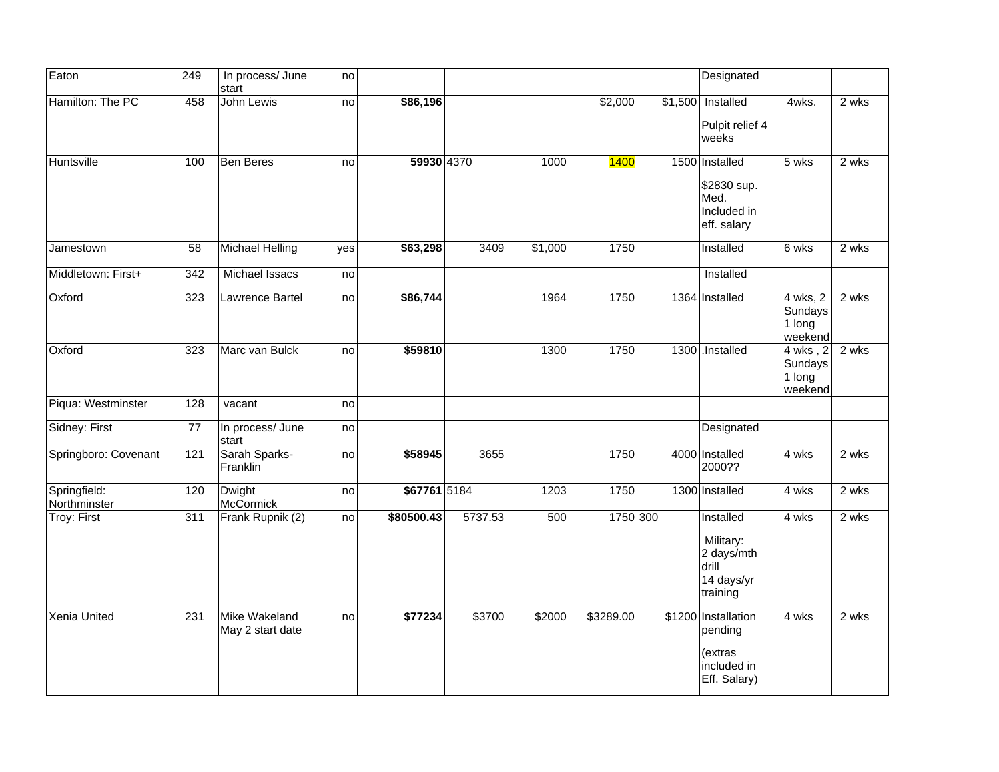| Eaton                        | 249 | In process/ June<br>start         | no  |              |         |                   |             | Designated                                                               |                                          |       |
|------------------------------|-----|-----------------------------------|-----|--------------|---------|-------------------|-------------|--------------------------------------------------------------------------|------------------------------------------|-------|
| Hamilton: The PC             | 458 | John Lewis                        | no  | \$86,196     |         |                   | \$2,000     | $$1,500$ Installed<br>Pulpit relief 4<br>weeks                           | 4wks.                                    | 2 wks |
| Huntsville                   | 100 | <b>Ben Beres</b>                  | no  | 59930 4370   |         | 1000              | <b>1400</b> | 1500 Installed<br>\$2830 sup.<br>Med.<br>Included in<br>eff. salary      | 5 wks                                    | 2 wks |
| Jamestown                    | 58  | <b>Michael Helling</b>            | yes | \$63,298     | 3409    | \$1,000           | 1750        | Installed                                                                | 6 wks                                    | 2 wks |
| Middletown: First+           | 342 | Michael Issacs                    | no  |              |         |                   |             | Installed                                                                |                                          |       |
| Oxford                       | 323 | Lawrence Bartel                   | no  | \$86,744     |         | 1964              | 1750        | 1364 Installed                                                           | 4 wks, 2<br>Sundays<br>1 long<br>weekend | 2 wks |
| Oxford                       | 323 | Marc van Bulck                    | no  | \$59810      |         | 1300              | 1750        | 1300 .Installed                                                          | 4 wks, 2<br>Sundays<br>1 long<br>weekend | 2 wks |
| Piqua: Westminster           | 128 | vacant                            | no  |              |         |                   |             |                                                                          |                                          |       |
| Sidney: First                | 77  | In process/ June<br>start         | no  |              |         |                   |             | Designated                                                               |                                          |       |
| Springboro: Covenant         | 121 | Sarah Sparks-<br>Franklin         | no  | \$58945      | 3655    |                   | 1750        | 4000 Installed<br>2000??                                                 | 4 wks                                    | 2 wks |
| Springfield:<br>Northminster | 120 | Dwight<br>McCormick               | no  | \$67761 5184 |         | $\overline{12}03$ | 1750        | 1300 Installed                                                           | 4 wks                                    | 2 wks |
| Troy: First                  | 311 | Frank Rupnik (2)                  | no  | \$80500.43   | 5737.53 | 500               | 1750 300    | Installed<br>Military:<br>2 days/mth<br>drill<br>14 days/yr<br>training  | 4 wks                                    | 2 wks |
| Xenia United                 | 231 | Mike Wakeland<br>May 2 start date | no  | \$77234      | \$3700  | \$2000            | \$3289.00   | \$1200 Installation<br>pending<br>(extras<br>included in<br>Eff. Salary) | 4 wks                                    | 2 wks |